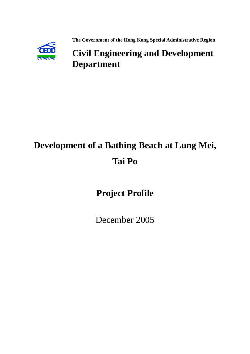

 **The Government of the Hong Kong Special Administrative Region**

## **CEDD Civil Engineering and Development Department**

# **Development of a Bathing Beach at Lung Mei, Tai Po**

## **Project Profile**

December 2005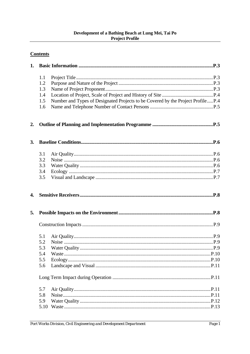#### Development of a Bathing Beach at Lung Mei, Tai Po **Project Profile**

## **Contents**

| 1. |      |                                                                                 |  |
|----|------|---------------------------------------------------------------------------------|--|
|    | 1.1  |                                                                                 |  |
|    | 1.2  |                                                                                 |  |
|    | 1.3  |                                                                                 |  |
|    | 1.4  |                                                                                 |  |
|    | 1.5  | Number and Types of Designated Projects to be Covered by the Project ProfileP.4 |  |
|    | 1.6  |                                                                                 |  |
| 2. |      |                                                                                 |  |
| 3. |      |                                                                                 |  |
|    | 3.1  |                                                                                 |  |
|    | 3.2  |                                                                                 |  |
|    | 3.3  |                                                                                 |  |
|    | 3.4  |                                                                                 |  |
|    | 3.5  |                                                                                 |  |
| 4. |      |                                                                                 |  |
| 5. |      |                                                                                 |  |
|    |      |                                                                                 |  |
|    | 5.1  |                                                                                 |  |
|    | 5.2  |                                                                                 |  |
|    | 5.3  |                                                                                 |  |
|    | 5.4  |                                                                                 |  |
|    | 5.5  |                                                                                 |  |
|    | 5.6  |                                                                                 |  |
|    |      |                                                                                 |  |
|    | 5.7  |                                                                                 |  |
|    | 5.8  |                                                                                 |  |
|    | 5.9  |                                                                                 |  |
|    | 5.10 |                                                                                 |  |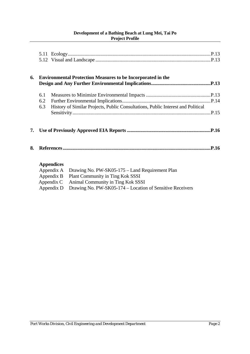#### **Development of a Bathing Beach at Lung Mei, Tai Po Project Profile**

| 6. |     | <b>Environmental Protection Measures to be Incorporated in the</b>                                                                   |
|----|-----|--------------------------------------------------------------------------------------------------------------------------------------|
|    | 6.1 |                                                                                                                                      |
|    | 6.2 |                                                                                                                                      |
|    | 6.3 | History of Similar Projects, Public Consultations, Public Interest and Political                                                     |
|    |     |                                                                                                                                      |
| 7. |     |                                                                                                                                      |
| 8. |     |                                                                                                                                      |
|    |     | <b>Appendices</b><br>Drawing No. PW-SK05-175 - Land Requirement Plan<br>Appendix A<br>Plant Community in Ting Kok SSSI<br>Appendix B |

| $\mu$ | I kin Community in This Row boot             |
|-------|----------------------------------------------|
|       | Appendix C Animal Community in Ting Kok SSSI |

Appendix D Drawing No. PW-SK05-174 – Location of Sensitive Receivers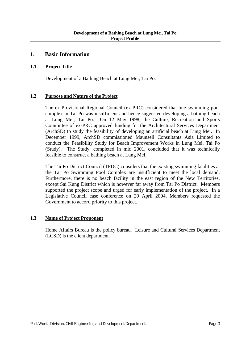## **1. Basic Information**

#### **1.1 Project Title**

Development of a Bathing Beach at Lung Mei, Tai Po.

#### **1.2 Purpose and Nature of the Project**

The ex-Provisional Regional Council (ex-PRC) considered that one swimming pool complex in Tai Po was insufficient and hence suggested developing a bathing beach at Lung Mei, Tai Po. On 12 May 1998, the Culture, Recreation and Sports Committee of ex-PRC approved funding for the Architectural Services Department (ArchSD) to study the feasibility of developing an artificial beach at Lung Mei. In December 1999, ArchSD commissioned Maunsell Consultants Asia Limited to conduct the Feasibility Study for Beach Improvement Works in Lung Mei, Tai Po (Study). The Study, completed in mid 2001, concluded that it was technically feasible to construct a bathing beach at Lung Mei.

The Tai Po District Council (TPDC) considers that the existing swimming facilities at the Tai Po Swimming Pool Complex are insufficient to meet the local demand. Furthermore, there is no beach facility in the east region of the New Territories, except Sai Kung District which is however far away from Tai Po District. Members supported the project scope and urged for early implementation of the project. In a Legislative Council case conference on 20 April 2004, Members requested the Government to accord priority to this project.

#### **1.3 Name of Project Proponent**

 Home Affairs Bureau is the policy bureau. Leisure and Cultural Services Department (LCSD) is the client department.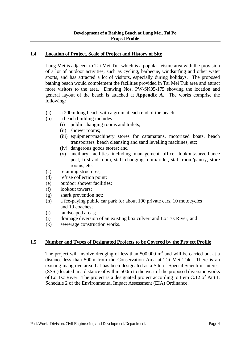#### **1.4 Location of Project, Scale of Project and History of Site**

 Lung Mei is adjacent to Tai Mei Tuk which is a popular leisure area with the provision of a lot of outdoor activities, such as cycling, barbecue, windsurfing and other water sports, and has attracted a lot of visitors, especially during holidays. The proposed bathing beach would complement the facilities provided in Tai Mei Tuk area and attract more visitors to the area. Drawing Nos. PW-SK05-175 showing the location and general layout of the beach is attached at **Appendix A**. The works comprise the following:

- (a) a 200m long beach with a groin at each end of the beach;
- (b) a beach building includes :
	- (i) public changing rooms and toilets;
	- (ii) shower rooms;
	- (iii) equipment/machinery stores for catamarans, motorized boats, beach transporters, beach cleansing and sand levelling machines, etc;
	- (iv) dangerous goods stores; and
	- (v) ancillary facilities including management office, lookout/surveillance post, first aid room, staff changing room/toilet, staff room/pantry, store rooms, etc.
- (c) retaining structures;
- (d) refuse collection point;
- (e) outdoor shower facilities;
- (f) lookout towers;
- (g) shark prevention net;
- (h) a fee-paying public car park for about 100 private cars, 10 motocycles and 10 coaches;
- (i) landscaped areas;
- (j) drainage diversion of an existing box culvert and Lo Tsz River; and
- (k) sewerage construction works.

#### **1.5 Number and Types of Designated Projects to be Covered by the Project Profile**

The project will involve dredging of less than  $500,000 \text{ m}^3$  and will be carried out at a distance less than 500m from the Conservation Area at Tai Mei Tuk. There is an existing mangrove area that has been designated as a Site of Special Scientific Interest (SSSI) located in a distance of within 500m to the west of the proposed diversion works of Lo Tsz River. The project is a designated project according to Item C.12 of Part I, Schedule 2 of the Environmental Impact Assessment (EIA) Ordinance.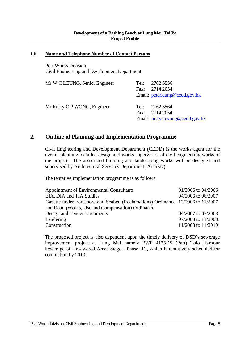#### **1.6 Name and Telephone Number of Contact Persons**

 Port Works Division Civil Engineering and Development Department

| Mr W C LEUNG, Senior Engineer | Tel: 2762 5556<br>Fax: $2714\,2054$<br>Email: peterleung@cedd.gov.hk |
|-------------------------------|----------------------------------------------------------------------|
| Mr Ricky C P WONG, Engineer   | Tel: $27625564$<br>Fax: 2714 2054<br>Email: rickycpwong@cedd.gov.hk  |

## **2. Outline of Planning and Implementation Programme**

Civil Engineering and Development Department (CEDD) is the works agent for the overall planning, detailed design and works supervision of civil engineering works of the project. The associated building and landscaping works will be designed and supervised by Architectural Services Department (ArchSD).

The tentative implementation programme is as follows:

| Appointment of Environmental Consultants                                       | 01/2006 to 04/2006 |
|--------------------------------------------------------------------------------|--------------------|
| EIA, DIA and TIA Studies                                                       | 04/2006 to 06/2007 |
| Gazette under Foreshore and Seabed (Reclamations) Ordinance 12/2006 to 11/2007 |                    |
| and Road (Works, Use and Compensation) Ordinance                               |                    |
| Design and Tender Documents                                                    | 04/2007 to 07/2008 |
| Tendering                                                                      | 07/2008 to 11/2008 |
| Construction                                                                   | 11/2008 to 11/2010 |

The proposed project is also dependent upon the timely delivery of DSD's sewerage improvement project at Lung Mei namely PWP 4125DS (Part) Tolo Harbour Sewerage of Unsewered Areas Stage I Phase IIC, which is tentatively scheduled for completion by 2010.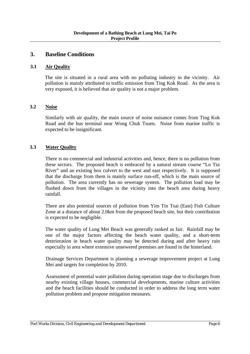## **3. Baseline Conditions**

#### **3.1 Air Quality**

The site is situated in a rural area with no polluting industry in the vicinity. Air pollution is mainly attributed to traffic emission from Ting Kok Road. As the area is very exposed, it is believed that air quality is not a major problem.

#### **3.2 Noise**

Similarly with air quality, the main source of noise nuisance comes from Ting Kok Road and the bus terminal near Wong Chuk Tsuen. Noise from marine traffic is expected to be insignificant.

#### **3.3 Water Quality**

There is no commercial and industrial activities and, hence, there is no pollution from these sectors. The proposed beach is embraced by a natural stream course "Lo Tsz River" and an existing box culvert to the west and east respectively. It is supposed that the discharge from them is mainly surface run-off, which is the main source of pollution. The area currently has no sewerage system. The pollution load may be flushed down from the villages in the vicinity into the beach area during heavy rainfall.

There are also potential sources of pollution from Yim Tin Tsai (East) Fish Culture Zone at a distance of about 2.0km from the proposed beach site, but their contribution is expected to be negligible.

The water quality of Lung Mei Beach was generally ranked as fair. Rainfall may be one of the major factors affecting the beach water quality, and a short-term deterioration in beach water quality may be detected during and after heavy rain especially in area where extensive unsewered premises are found in the hinterland.

Drainage Services Department is planning a sewerage improvement project at Lung Mei and targets for completion by 2010.

Assessment of potential water pollution during operation stage due to discharges from nearby existing village houses, commercial developments, marine culture activities and the beach facilities should be conducted in order to address the long term water pollution problem and propose mitigation measures.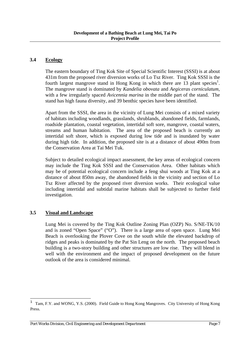#### **3.4 Ecology**

The eastern boundary of Ting Kok Site of Special Scientific Interest (SSSI) is at about 431m from the proposed river diversion works of Lo Tsz River. Ting Kok SSSI is the fourth largest mangrove stand in Hong Kong in which there are  $\overline{13}$  plant species<sup>1</sup>. The mangrove stand is dominated by *Kandelia obovata* and *Aegiceras corniculatum,* with a few irregularly spaced *Avicennia marina* in the middle part of the stand. The stand has high fauna diversity, and 39 benthic species have been identified.

Apart from the SSSI, the area in the vicinity of Lung Mei consists of a mixed variety of habitats including woodlands, grasslands, shrublands, abandoned fields, farmlands, roadside plantation, coastal vegetation, intertidal soft sore, mangrove, coastal waters, streams and human habitation. The area of the proposed beach is currently an intertidal soft shore, which is exposed during low tide and is inundated by water during high tide. In addition, the proposed site is at a distance of about 490m from the Conservation Area at Tai Mei Tuk.

Subject to detailed ecological impact assessment, the key areas of ecological concern may include the Ting Kok SSSI and the Conservation Area. Other habitats which may be of potential ecological concern include a feng shui woods at Ting Kok at a distance of about 850m away, the abandoned fields in the vicinity and section of Lo Tsz River affected by the proposed river diversion works. Their ecological value including intertidal and subtidal marine habitats shall be subjected to further field investigation.

#### **3.5 Visual and Landscape**

Lung Mei is covered by the Ting Kok Outline Zoning Plan (OZP) No. S/NE-TK/10 and is zoned "Open Space" ("O"). There is a large area of open space. Lung Mei Beach is overlooking the Plover Cove on the south while the elevated backdrop of ridges and peaks is dominated by the Pat Sin Leng on the north. The proposed beach building is a two-story building and other structures are low rise. They will blend in well with the environment and the impact of proposed development on the future outlook of the area is considered minimal.

 $\mathbf 1$ <sup>1</sup> Tam, F.Y. and WONG, Y.S. (2000). Field Guide to Hong Kong Mangroves. City University of Hong Kong Press.

*Port Works Division, Civil Engineering and Development Department Page 7*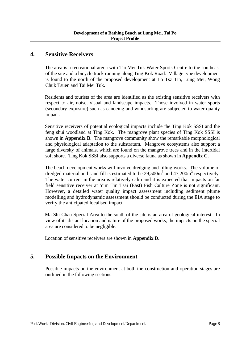## **4. Sensitive Receivers**

The area is a recreational arena with Tai Mei Tuk Water Sports Centre to the southeast of the site and a bicycle track running along Ting Kok Road. Village type development is found to the north of the proposed development at Lo Tsz Tin, Lung Mei, Wong Chuk Tsuen and Tai Mei Tuk.

Residents and tourists of the area are identified as the existing sensitive receivers with respect to air, noise, visual and landscape impacts. Those involved in water sports (secondary exposure) such as canoeing and windsurfing are subjected to water quality impact.

Sensitive receivers of potential ecological impacts include the Ting Kok SSSI and the feng shui woodland at Ting Kok. The mangrove plant species of Ting Kok SSSI is shown in **Appendix B**. The mangrove community show the remarkable morphological and physiological adaptation to the substratum. Mangrove ecosystems also support a large diversity of animals, which are found on the mangrove trees and in the intertidal soft shore. Ting Kok SSSI also supports a diverse fauna as shown in **Appendix C.** 

The beach development works will involve dredging and filling works. The volume of dredged material and sand fill is estimated to be  $29,500m^3$  and  $47,200m^3$  respectively. The water current in the area is relatively calm and it is expected that impacts on far field sensitive receiver at Yim Tin Tsai (East) Fish Culture Zone is not significant. However, a detailed water quality impact assessment including sediment plume modelling and hydrodynamic assessment should be conducted during the EIA stage to verify the anticipated localised impact.

Ma Shi Chau Special Area to the south of the site is an area of geological interest. In view of its distant location and nature of the proposed works, the impacts on the special area are considered to be negligible.

Location of sensitive receivers are shown in **Appendix D.**

## **5. Possible Impacts on the Environment**

 Possible impacts on the environment at both the construction and operation stages are outlined in the following sections.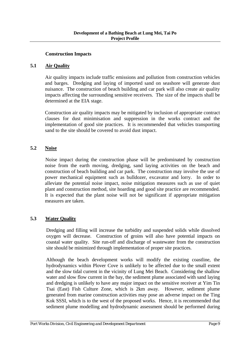#### **Construction Impacts**

#### **5.1 Air Quality**

 Air quality impacts include traffic emissions and pollution from construction vehicles and barges. Dredging and laying of imported sand on seashore will generate dust nuisance. The construction of beach building and car park will also create air quality impacts affecting the surrounding sensitive receivers. The size of the impacts shall be determined at the EIA stage.

Construction air quality impacts may be mitigated by inclusion of appropriate contract clauses for dust minimisation and suppression in the works contract and the implementation of good site practices. It is recommended that vehicles transporting sand to the site should be covered to avoid dust impact.

#### **5.2 Noise**

 Noise impact during the construction phase will be predominated by construction noise from the earth moving, dredging, sand laying activities on the beach and construction of beach building and car park. The construction may involve the use of power mechanical equipment such as bulldozer, excavator and lorry. In order to alleviate the potential noise impact, noise mitigation measures such as use of quiet plant and construction method, site hoarding and good site practice are recommended. It is expected that the plant noise will not be significant if appropriate mitigation measures are taken.

#### **5.3 Water Quality**

Dredging and filling will increase the turbidity and suspended solids while dissolved oxygen will decrease. Construction of groins will also have potential impacts on coastal water quality. Site run-off and discharge of wastewater from the construction site should be minimized through implementation of proper site practices.

Although the beach development works will modify the existing coastline, the hydrodynamics within Plover Cove is unlikely to be affected due to the small extent and the slow tidal current in the vicinity of Lung Mei Beach. Considering the shallow water and slow flow current in the bay, the sediment plume associated with sand laying and dredging is unlikely to have any major impact on the sensitive receiver at Yim Tin Tsai (East) Fish Culture Zone, which is 2km away. However, sediment plume generated from marine construction activities may pose an adverse impact on the Ting Kok SSSI, which is to the west of the proposed works. Hence, it is recommended that sediment plume modelling and hydrodynamic assessment should be performed during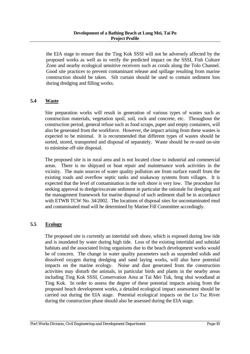#### **Development of a Bathing Beach at Lung Mei, Tai Po Project Profile**

the EIA stage to ensure that the Ting Kok SSSI will not be adversely affected by the proposed works as well as to verify the predicted impact on the SSSI, Fish Culture Zone and nearby ecological sensitive receivers such as corals along the Tolo Channel. Good site practices to prevent contaminant release and spillage resulting from marine construction should be taken. Silt curtain should be used to contain sediment loss during dredging and filling works.

#### **5.4 Waste**

 Site preparation works will result in generation of various types of wastes such as construction materials, vegetation spoil, soil, rock and concrete, etc. Throughout the construction period, general refuse such as food scraps, paper and empty containers, will also be generated from the workforce. However, the impact arising from these wastes is expected to be minimal. It is recommended that different types of wastes should be sorted, stored, transported and disposal of separately. Waste should be re-used on-site to minimise off-site disposal.

The proposed site is in rural area and is not located close to industrial and commercial areas. There is no shipyard or boat repair and maintenance work activities in the vicinity. The main sources of water quality pollution are from surface runoff from the existing roads and overflow septic tanks and soakaway systems from villages. It is expected that the level of contamination in the soft shore is very low. The procedure for seeking approval to dredge/excavate sediment in particular the rationale for dredging and the management framework for marine disposal of such sediment shall be in accordance with ETWB TCW No. 34/2002. The locations of disposal sites for uncontaminated mud and contaminated mud will be determined by Marine Fill Committee accordingly.

#### **5.5 Ecology**

 The proposed site is currently an intertidal soft shore, which is exposed during low tide and is inundated by water during high tide. Loss of the existing intertidal and subtidal habitats and the associated living organisms due to the beach development works would be of concern. The change in water quality parameters such as suspended solids and dissolved oxygen during dredging and sand laying works, will also have potential impacts on the marine ecology. Noise and dust generated from the construction activities may disturb the animals, in particular birds and plants in the nearby areas including Ting Kok SSSI, Conservation Area at Tai Mei Tuk, feng shui woodland at Ting Kok. In order to assess the degree of these potential impacts arising from the proposed beach development works, a detailed ecological impact assessment should be carried out during the EIA stage. Potential ecological impacts on the Lo Tsz River during the construction phase should also be assessed during the EIA stage.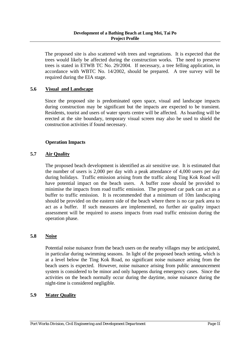The proposed site is also scattered with trees and vegetations. It is expected that the trees would likely be affected during the construction works. The need to preserve trees is stated in ETWB TC No. 29/2004. If necessary, a tree felling application, in accordance with WBTC No. 14/2002, should be prepared. A tree survey will be required during the EIA stage.

#### **5.6 Visual and Landscape**

 Since the proposed site is predominated open space, visual and landscape impacts during construction may be significant but the impacts are expected to be transient. Residents, tourist and users of water sports centre will be affected. As hoarding will be erected at the site boundary, temporary visual screen may also be used to shield the construction activities if found necessary.

#### **Operation Impacts**

#### **5.7 Air Quality**

The proposed beach development is identified as air sensitive use. It is estimated that the number of users is 2,000 per day with a peak attendance of 4,000 users per day during holidays. Traffic emission arising from the traffic along Ting Kok Road will have potential impact on the beach users. A buffer zone should be provided to minimise the impacts from road traffic emission. The proposed car park can act as a buffer to traffic emission. It is recommended that a minimum of 10m landscaping should be provided on the eastern side of the beach where there is no car park area to act as a buffer. If such measures are implemented, no further air quality impact assessment will be required to assess impacts from road traffic emission during the operation phase.

#### **5.8 Noise**

Potential noise nuisance from the beach users on the nearby villages may be anticipated, in particular during swimming seasons. In light of the proposed beach setting, which is at a level below the Ting Kok Road, no significant noise nuisance arising from the beach users is expected. However, noise nuisance arising from public announcement system is considered to be minor and only happens during emergency cases. Since the activities on the beach normally occur during the daytime, noise nuisance during the night-time is considered negligible.

#### **5.9 Water Quality**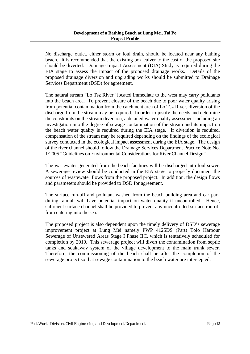#### **Development of a Bathing Beach at Lung Mei, Tai Po Project Profile**

No discharge outlet, either storm or foul drain, should be located near any bathing beach. It is recommended that the existing box culver to the east of the proposed site should be diverted. Drainage Impact Assessment (DIA) Study is required during the EIA stage to assess the impact of the proposed drainage works. Details of the proposed drainage diversion and upgrading works should be submitted to Drainage Services Department (DSD) for agreement.

The natural stream "Lo Tsz River" located immediate to the west may carry pollutants into the beach area. To prevent closure of the beach due to poor water quality arising from potential contamination from the catchment area of Lo Tsz River, diversion of the discharge from the stream may be required. In order to justify the needs and determine the constraints on the stream diversion, a detailed water quality assessment including an investigation into the degree of sewage contamination of the stream and its impact on the beach water quality is required during the EIA stage. If diversion is required, compensation of the stream may be required depending on the findings of the ecological survey conducted in the ecological impact assessment during the EIA stage. The design of the river channel should follow the Drainage Services Department Practice Note No. 1/2005 "Guidelines on Environmental Considerations for River Channel Design".

The wastewater generated from the beach facilities will be discharged into foul sewer. A sewerage review should be conducted in the EIA stage to properly document the sources of wastewater flows from the proposed project. In addition, the design flows and parameters should be provided to DSD for agreement.

The surface run-off and pollutant washed from the beach building area and car park during rainfall will have potential impact on water quality if uncontrolled. Hence, sufficient surface channel shall be provided to prevent any uncontrolled surface run-off from entering into the sea.

The proposed project is also dependent upon the timely delivery of DSD's sewerage improvement project at Lung Mei namely PWP 4125DS (Part) Tolo Harbour Sewerage of Unsewered Areas Stage I Phase IIC, which is tentatively scheduled for completion by 2010. This sewerage project will divert the contamination from septic tanks and soakaway system of the village development to the main trunk sewer. Therefore, the commissioning of the beach shall be after the completion of the sewerage project so that sewage contamination to the beach water are intercepted.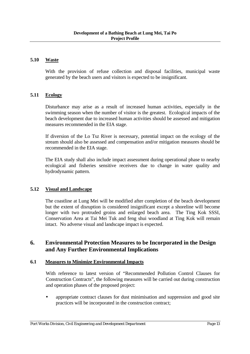#### **5.10 Waste**

With the provision of refuse collection and disposal facilities, municipal waste generated by the beach users and visitors is expected to be insignificant.

#### **5.11 Ecology**

Disturbance may arise as a result of increased human activities, especially in the swimming season when the number of visitor is the greatest. Ecological impacts of the beach development due to increased human activities should be assessed and mitigation measures recommended in the EIA stage.

If diversion of the Lo Tsz River is necessary, potential impact on the ecology of the stream should also be assessed and compensation and/or mitigation measures should be recommended in the EIA stage.

The EIA study shall also include impact assessment during operational phase to nearby ecological and fisheries sensitive receivers due to change in water quality and hydrodynamic pattern.

#### **5.12 Visual and Landscape**

The coastline at Lung Mei will be modified after completion of the beach development but the extent of disruption is considered insignificant except a shoreline will become longer with two protruded groins and enlarged beach area. The Ting Kok SSSI, Conservation Area at Tai Mei Tuk and feng shui woodland at Ting Kok will remain intact. No adverse visual and landscape impact is expected.

## **6. Environmental Protection Measures to be Incorporated in the Design and Any Further Environmental Implications**

#### **6.1 Measures to Minimize Environmental Impacts**

With reference to latest version of "Recommended Pollution Control Clauses for Construction Contracts", the following measures will be carried out during construction and operation phases of the proposed project:

• appropriate contract clauses for dust minimisation and suppression and good site practices will be incorporated in the construction contract;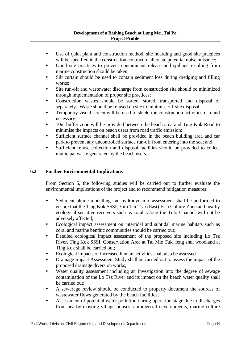- Use of quiet plant and construction method, site hoarding and good site practices will be specified in the construction contract to alleviate potential noise nuisance;
- Good site practices to prevent contaminant release and spillage resulting from marine construction should be taken;
- Silt curtain should be used to contain sediment loss during dredging and filling works;
- Site run-off and wastewater discharge from construction site should be minimized through implementation of proper site practices;
- Construction wastes should be sorted, stored, transported and disposal of separately. Waste should be re-used on site to minimise off-site disposal;
- Temporary visual screen will be used to shield the construction activities if found necessary;
- 10m buffer zone will be provided between the beach area and Ting Kok Road to minimise the impacts on beach users from road traffic emission;
- Sufficient surface channel shall be provided in the beach building area and car park to prevent any uncontrolled surface run-off from entering into the sea; and
- Sufficient refuse collection and disposal facilities should be provided to collect municipal waste generated by the beach users.

## **6.2 Further Environmental Implications**

From Section 5, the following studies will be carried out to further evaluate the environmental implications of the project and to recommend mitigation measures:

- Sediment plume modelling and hydrodynamic assessment shall be performed to ensure that the Ting Kok SSSI, Yim Tin Tsai (East) Fish Culture Zone and nearby ecological sensitive receivers such as corals along the Tolo Channel will not be adversely affected;
- Ecological impact assessment on intertidal and subtidal marine habitats such as coral and marine benthic communities should be carried out;
- Detailed ecological impact assessment of the proposed site including Lo Tsz River, Ting Kok SSSI, Conservation Area at Tai Mie Tuk, feng shui woodland at Ting Kok shall be carried out;
- y Ecological impacts of increased human activities shall also be assessed.
- Drainage Impact Assessment Study shall be carried out to assess the impact of the proposed drainage diversion works;
- Water quality assessment including an investigation into the degree of sewage contamination of the Lo Tsz River and its impact on the beach water quality shall be carried out;
- A sewerage review should be conducted to properly document the sources of wastewater flows generated by the beach facilities;
- Assessment of potential water pollution during operation stage due to discharges from nearby existing village houses, commercial developments, marine culture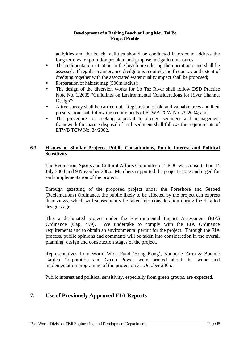activities and the beach facilities should be conducted in order to address the long term water pollution problem and propose mitigation measures;

- The sedimentation situation in the beach area during the operation stage shall be assessed. If regular maintenance dredging is required, the frequency and extent of dredging together with the associated water quality impact shall be proposed;
- Preparation of habitat map (500m radius);
- The design of the diversion works for Lo Tsz River shall follow DSD Practice Note No. 1/2005 "Guildlines on Environmental Considerations for River Channel Design";
- A tree survey shall be carried out. Registration of old and valuable trees and their preservation shall follow the requirements of ETWB TCW No. 29/2004; and
- The procedure for seeking approval to dredge sediment and management framework for marine disposal of such sediment shall follows the requirements of ETWB TCW No. 34/2002.

#### **6.3 History of Similar Projects, Public Consultations, Public Interest and Political Sensitivity**

The Recreation, Sports and Cultural Affairs Committee of TPDC was consulted on 14 July 2004 and 9 November 2005. Members supported the project scope and urged for early implementation of the project.

Through gazetting of the proposed project under the Foreshore and Seabed (Reclamations) Ordinance, the public likely to be affected by the project can express their views, which will subsequently be taken into consideration during the detailed design stage.

This a designated project under the Environmental Impact Assessment (EIA) Ordinance (Cap. 499). We undertake to comply with the EIA Ordinance requirements and to obtain an environmental permit for the project. Through the EIA process, public opinions and comments will be taken into consideration in the overall planning, design and construction stages of the project.

Representatives from World Wide Fund (Hong Kong), Kadoorie Farm & Botanic Garden Corporation and Green Power were briefed about the scope and implementation programme of the project on 31 October 2005.

Public interest and political sensitivity, especially from green groups, are expected.

## **7. Use of Previously Approved EIA Reports**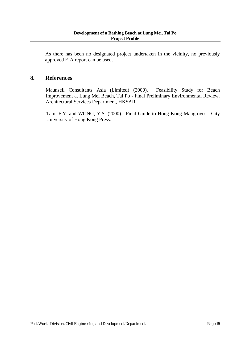As there has been no designated project undertaken in the vicinity, no previously approved EIA report can be used.

## **8. References**

Maunsell Consultants Asia (Limited) (2000). Feasibility Study for Beach Improvement at Lung Mei Beach, Tai Po - Final Preliminary Environmental Review. Architectural Services Department, HKSAR.

Tam, F.Y. and WONG, Y.S. (2000). Field Guide to Hong Kong Mangroves. City University of Hong Kong Press.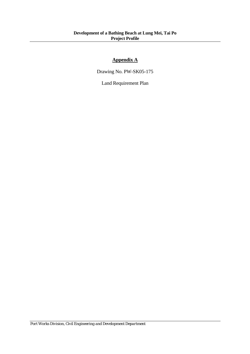## **Appendix A**

Drawing No. PW-SK05-175

Land Requirement Plan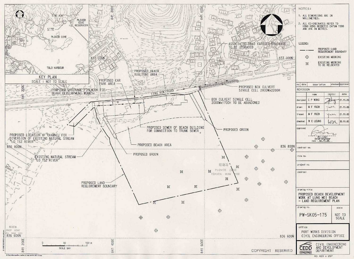

|                                              | NOTES:                                                                              |                   |                  |                  |  |
|----------------------------------------------|-------------------------------------------------------------------------------------|-------------------|------------------|------------------|--|
|                                              | 1. ALL DIMENSIONS ARE IN<br>MILLIMETRES.                                            |                   |                  |                  |  |
|                                              | 2. ALL CO-ORDINATES REFER TO<br>HONG KONG GEODETIC DATUM 1980<br>AND ARE IN METRES. |                   |                  |                  |  |
|                                              |                                                                                     |                   |                  |                  |  |
| .GF                                          | LEGEND:                                                                             |                   |                  |                  |  |
|                                              |                                                                                     |                   | PROPOSED LAND    |                  |  |
| 37-000N                                      | REQUIREMENT BOUNDARY<br>$\oplus$<br>EXISTING MOORING                                |                   |                  |                  |  |
|                                              |                                                                                     | 区                 | EXISTING MOORING |                  |  |
| TO BE RELOCATED<br>7.4<br>学びに                |                                                                                     |                   |                  |                  |  |
| <b>Cubic</b>                                 | date<br>no.                                                                         | description       |                  | checked approved |  |
|                                              | REVISION                                                                            |                   |                  |                  |  |
|                                              |                                                                                     | name              | initial          | date             |  |
|                                              | designed                                                                            | C P WONG          |                  | 21.11.05         |  |
|                                              | drawn                                                                               | МF<br><b>YUEN</b> | ACA              | 21.11.05         |  |
|                                              | traced                                                                              | M F YUEN          | へとハ              | 21.11.05         |  |
|                                              | checked                                                                             | W C LEUNG         | 1071             | 30.11.05         |  |
| approved<br>Chief Engineer<br>date: 30.11.05 |                                                                                     |                   |                  |                  |  |
| 36 800N<br>contract no.<br>$\bigoplus$       |                                                                                     |                   |                  |                  |  |
|                                              | file no.                                                                            |                   |                  |                  |  |
|                                              | project no.                                                                         |                   |                  |                  |  |
|                                              | contract                                                                            |                   |                  |                  |  |
| ⊕                                            |                                                                                     |                   |                  |                  |  |
|                                              | drawing title                                                                       |                   |                  |                  |  |
|                                              | PROPOSED BEACH DEVELOPMENT<br>WORK AT LUNG MEI BEACH<br>- LAND REQUIREMENT PLAN     |                   |                  |                  |  |
|                                              | drawing no.<br>scale                                                                |                   |                  |                  |  |
|                                              | PW-SK05-175<br>NOT TO<br><b>SCALE</b>                                               |                   |                  |                  |  |
|                                              | office                                                                              |                   |                  |                  |  |
| 36 600N                                      | PORT WORKS DIVISION<br>CIVIL ENGINEERING OFFICE                                     |                   |                  |                  |  |
| <b>ERVED</b>                                 | CIVIL ENGINEERING<br>AND DEVELOPMENT<br>CEDE<br>DEPARTMENT                          |                   |                  |                  |  |
|                                              |                                                                                     |                   | A3 420 x 297     |                  |  |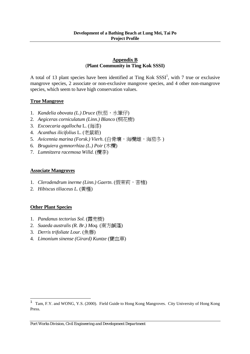#### **Appendix B** (**Plant Community in Ting Kok SSSI)**

A total of 13 plant species have been identified at Ting Kok  $SSSI<sup>1</sup>$ , with 7 true or exclusive mangrove species, 2 associate or non-exclusive mangrove species, and 4 other non-mangrove species, which seem to have high conservation values.

## **True Mangrove**

- 1. *Kandelia obovata (L.) Druce* (秋茄,水筆仔)
- 2. *Aegiceras corniculatum (Linn.) Blanco* (桐花樹)
- 3. *Excoecaria agallocha* L. (海漆)
- 4. *Acanthus ilicifolius* L. (老鼠簕)
- 5. *Avicennia marina (Forsk.) Vierh*. (白骨壤,海欖雌,海茄冬 )
- 6. *Bruguiera gymnorrhiza (L.) Poir* (木欖)
- 7. *Lumnitzera racemosa Willd.* (欖李)

#### **Associate Mangroves**

- 1. *Clerodendrum inerme (Linn.) Gaertn.* (假茉莉, 苦楮)
- 2. *Hibiscus tiliaceus L.* (黃槿)

## **Other Plant Species**

J.

- 1. *Pandanus tectorius Sol.* (露兜樹)
- 2. *Suaeda australis (R. Br.) Moq.* (南方鹹蓬)
- 3. *Derris trifoliate Lour.* (魚藤)
- 4. *Limonium sinense (Girard) Kuntze* (寶血草)

 $1$  Tam, F.Y. and WONG, Y.S. (2000). Field Guide to Hong Kong Mangroves. City University of Hong Kong Press.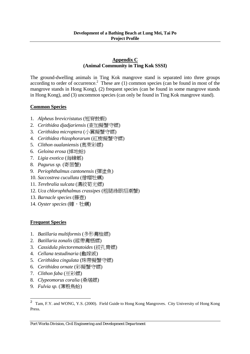#### **Appendix C (Animal Community in Ting Kok SSSI)**

The ground-dwelling animals in Ting Kok mangrove stand is separated into three groups according to order of occurrence.<sup>2</sup> These are  $(1)$  common species (can be found in most of the mangrove stands in Hong Kong), (2) frequent species (can be found in some mangrove stands in Hong Kong), and (3) uncommon species (can only be found in Ting Kok mangrove stand).

## **Common Species**

- 1. *Alpheus brevicristatus* (短脊鼓蝦)
- 2. *Cerithidea djadjariensis* (查加擬蟹守螺)
- 3. *Cerithidea microptera* (小翼擬蟹守螺)
- 4. *Cerithidea rhizophorarum* (紅樹擬蟹守螺)
- 5. *Clithon oualaniensis* (奧萊彩螺)
- 6. *Geloina erosa* (掉地蛤)
- 7. *Ligia exotica* (海蟑螂)
- 8. *Pagurus sp.* (寄居蟹)
- 9. *Periophthalmus cantonensis* (彈塗魚)
- 10. *Saccostrea cucullata* (僧帽牡蠣)
- 11. *Terebralia sulcata* (溝紋筍光螺)
- 12. *Uca chlorophthalmus crassipes* (粗腿綠眼招潮蟹)
- 13. *Barnacle species* (籐壺)
- 14. Oyster species (蠔, 牡蠣)

## **Frequent Species**

- 1. *Batillaria multiformis* (多形灘桖螺)
- 2. *Batillaria zonalis* (縱帶灘栖螺)
- 3. *Cassidula plectorematoides* (絞孔胄螺)
- 4. *Cellana testudinaria* (龜嫁戚)
- 5. *Cerithidea cingulata* (珠帶擬蟹守螺)
- 6. *Cerithidea ornate* (彩擬蟹守螺)
- 7. *Clithon faba* (豆彩螺)
- 8. *Clypeomorus coralia* (桑堪螺)
- 9. *Fulvia sp.* (薄殼鳥蛤)

J.

<sup>&</sup>lt;sup>2</sup> Tam, F.Y. and WONG, Y.S. (2000). Field Guide to Hong Kong Mangroves. City University of Hong Kong Press.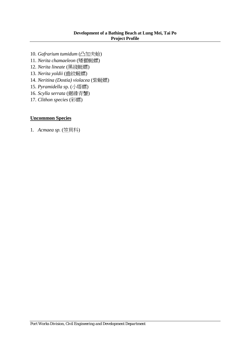#### **Development of a Bathing Beach at Lung Mei, Tai Po Project Profile**

- 10. *Gafrarium tumidum* (凸加夫蛤)
- 11. *Nerita chamaeleon* (矮獅蜓螺)
- 12. *Nerita lineate* (黑綫蜓螺)
- 13. *Nerita yoldii* (齒紋蜒螺)
- 14. *Neritina (Dostia) violacea* (紫蜒螺)
- 15. *Pyramidella s*p. (小塔螺)
- 16. *Scylla serrata* (鋸緣青蟹)
- 17. *Clithon species* (彩螺)

#### **Uncommon Species**

1. *Acmaea sp.* (笠貝科)